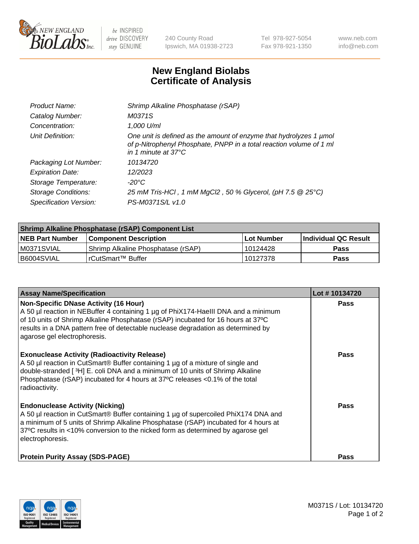

 $be$  INSPIRED drive DISCOVERY stay GENUINE

240 County Road Ipswich, MA 01938-2723 Tel 978-927-5054 Fax 978-921-1350 www.neb.com info@neb.com

## **New England Biolabs Certificate of Analysis**

| Product Name:           | Shrimp Alkaline Phosphatase (rSAP)                                                                                                                                         |
|-------------------------|----------------------------------------------------------------------------------------------------------------------------------------------------------------------------|
| Catalog Number:         | M0371S                                                                                                                                                                     |
| Concentration:          | 1,000 U/ml                                                                                                                                                                 |
| Unit Definition:        | One unit is defined as the amount of enzyme that hydrolyzes 1 µmol<br>of p-Nitrophenyl Phosphate, PNPP in a total reaction volume of 1 ml<br>in 1 minute at $37^{\circ}$ C |
| Packaging Lot Number:   | 10134720                                                                                                                                                                   |
| <b>Expiration Date:</b> | 12/2023                                                                                                                                                                    |
| Storage Temperature:    | $-20^{\circ}$ C                                                                                                                                                            |
| Storage Conditions:     | 25 mM Tris-HCl, 1 mM MgCl2, 50 % Glycerol, (pH 7.5 @ 25°C)                                                                                                                 |
| Specification Version:  | PS-M0371S/L v1.0                                                                                                                                                           |

| <b>Shrimp Alkaline Phosphatase (rSAP) Component List</b> |                                     |            |                       |  |
|----------------------------------------------------------|-------------------------------------|------------|-----------------------|--|
| <b>NEB Part Number</b>                                   | <b>Component Description</b>        | Lot Number | ∣Individual QC Result |  |
| IM0371SVIAL                                              | 'Shrimp Alkaline Phosphatase (rSAP) | 10124428   | <b>Pass</b>           |  |
| I B6004SVIAL                                             | l rCutSmart™ Buffer                 | 10127378   | <b>Pass</b>           |  |

| <b>Assay Name/Specification</b>                                                                                                                                                                                                                                                                                                             | Lot #10134720 |
|---------------------------------------------------------------------------------------------------------------------------------------------------------------------------------------------------------------------------------------------------------------------------------------------------------------------------------------------|---------------|
| <b>Non-Specific DNase Activity (16 Hour)</b><br>A 50 µl reaction in NEBuffer 4 containing 1 µg of PhiX174-HaellI DNA and a minimum<br>of 10 units of Shrimp Alkaline Phosphatase (rSAP) incubated for 16 hours at 37°C<br>results in a DNA pattern free of detectable nuclease degradation as determined by<br>agarose gel electrophoresis. | <b>Pass</b>   |
| <b>Exonuclease Activity (Radioactivity Release)</b><br>A 50 µl reaction in CutSmart® Buffer containing 1 µg of a mixture of single and<br>double-stranded [3H] E. coli DNA and a minimum of 10 units of Shrimp Alkaline<br>Phosphatase (rSAP) incubated for 4 hours at 37°C releases <0.1% of the total<br>radioactivity.                   | <b>Pass</b>   |
| <b>Endonuclease Activity (Nicking)</b><br>A 50 µl reaction in CutSmart® Buffer containing 1 µg of supercoiled PhiX174 DNA and<br>a minimum of 5 units of Shrimp Alkaline Phosphatase (rSAP) incubated for 4 hours at<br>37°C results in <10% conversion to the nicked form as determined by agarose gel<br>electrophoresis.                 | Pass          |
| <b>Protein Purity Assay (SDS-PAGE)</b>                                                                                                                                                                                                                                                                                                      | <b>Pass</b>   |